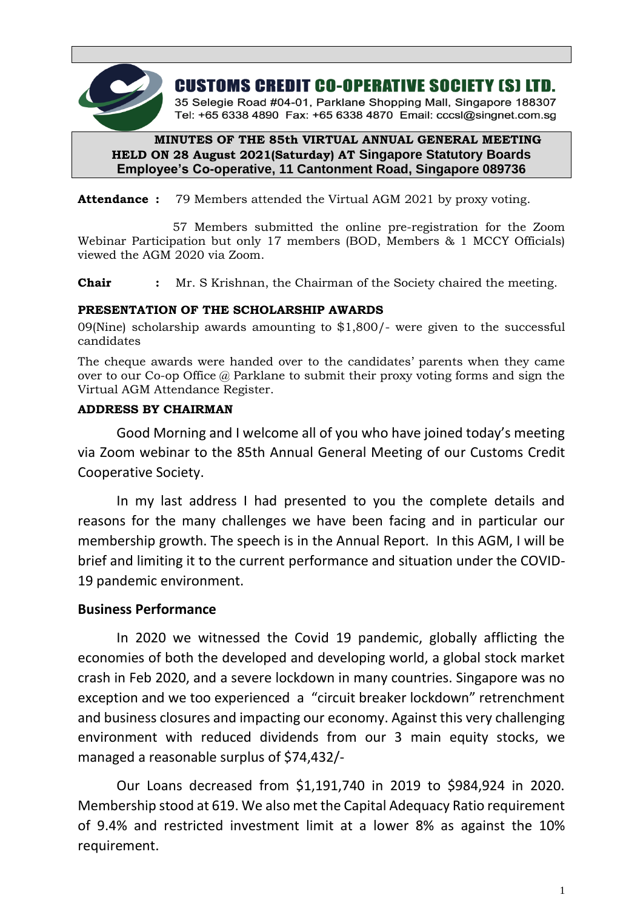

**CUSTOMS CREDIT CO-OPERATIVE SOCIETY (S) LTD.** 

35 Selegie Road #04-01, Parklane Shopping Mall, Singapore 188307 Tel: +65 6338 4890 Fax: +65 6338 4870 Email: cccsl@singnet.com.sq

# **MINUTES OF THE 85th VIRTUAL ANNUAL GENERAL MEETING HELD ON 28 August 2021(Saturday) AT Singapore Statutory Boards Employee's Co-operative, 11 Cantonment Road, Singapore 089736**

**Attendance :** 79 Members attended the Virtual AGM 2021 by proxy voting.

 57 Members submitted the online pre-registration for the Zoom Webinar Participation but only 17 members (BOD, Members & 1 MCCY Officials) viewed the AGM 2020 via Zoom.

**Chair :** Mr. S Krishnan, the Chairman of the Society chaired the meeting.

# **PRESENTATION OF THE SCHOLARSHIP AWARDS**

09(Nine) scholarship awards amounting to \$1,800/- were given to the successful candidates

The cheque awards were handed over to the candidates' parents when they came over to our Co-op Office @ Parklane to submit their proxy voting forms and sign the Virtual AGM Attendance Register.

# **ADDRESS BY CHAIRMAN**

Good Morning and I welcome all of you who have joined today's meeting via Zoom webinar to the 85th Annual General Meeting of our Customs Credit Cooperative Society.

In my last address I had presented to you the complete details and reasons for the many challenges we have been facing and in particular our membership growth. The speech is in the Annual Report. In this AGM, I will be brief and limiting it to the current performance and situation under the COVID-19 pandemic environment.

# **Business Performance**

In 2020 we witnessed the Covid 19 pandemic, globally afflicting the economies of both the developed and developing world, a global stock market crash in Feb 2020, and a severe lockdown in many countries. Singapore was no exception and we too experienced a "circuit breaker lockdown" retrenchment and business closures and impacting our economy. Against this very challenging environment with reduced dividends from our 3 main equity stocks, we managed a reasonable surplus of \$74,432/-

Our Loans decreased from \$1,191,740 in 2019 to \$984,924 in 2020. Membership stood at 619. We also met the Capital Adequacy Ratio requirement of 9.4% and restricted investment limit at a lower 8% as against the 10% requirement.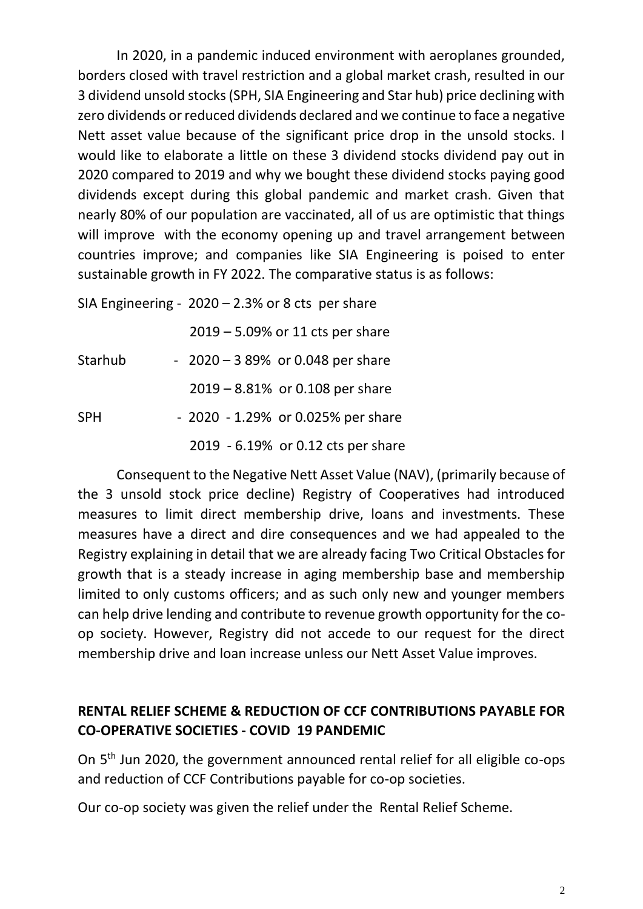In 2020, in a pandemic induced environment with aeroplanes grounded, borders closed with travel restriction and a global market crash, resulted in our 3 dividend unsold stocks (SPH, SIA Engineering and Star hub) price declining with zero dividends or reduced dividends declared and we continue to face a negative Nett asset value because of the significant price drop in the unsold stocks. I would like to elaborate a little on these 3 dividend stocks dividend pay out in 2020 compared to 2019 and why we bought these dividend stocks paying good dividends except during this global pandemic and market crash. Given that nearly 80% of our population are vaccinated, all of us are optimistic that things will improve with the economy opening up and travel arrangement between countries improve; and companies like SIA Engineering is poised to enter sustainable growth in FY 2022. The comparative status is as follows:

SIA Engineering -  $2020 - 2.3%$  or 8 cts per share 2019 – 5.09% or 11 cts per share Starhub  $-2020 - 389%$  or 0.048 per share 2019 – 8.81% or 0.108 per share SPH - 2020 - 1.29% or 0.025% per share 2019 - 6.19% or 0.12 cts per share

Consequent to the Negative Nett Asset Value (NAV), (primarily because of the 3 unsold stock price decline) Registry of Cooperatives had introduced measures to limit direct membership drive, loans and investments. These measures have a direct and dire consequences and we had appealed to the Registry explaining in detail that we are already facing Two Critical Obstacles for growth that is a steady increase in aging membership base and membership limited to only customs officers; and as such only new and younger members can help drive lending and contribute to revenue growth opportunity for the coop society. However, Registry did not accede to our request for the direct membership drive and loan increase unless our Nett Asset Value improves.

# **RENTAL RELIEF SCHEME & REDUCTION OF CCF CONTRIBUTIONS PAYABLE FOR CO-OPERATIVE SOCIETIES - COVID 19 PANDEMIC**

On 5th Jun 2020, the government announced rental relief for all eligible co-ops and reduction of CCF Contributions payable for co-op societies.

Our co-op society was given the relief under the Rental Relief Scheme.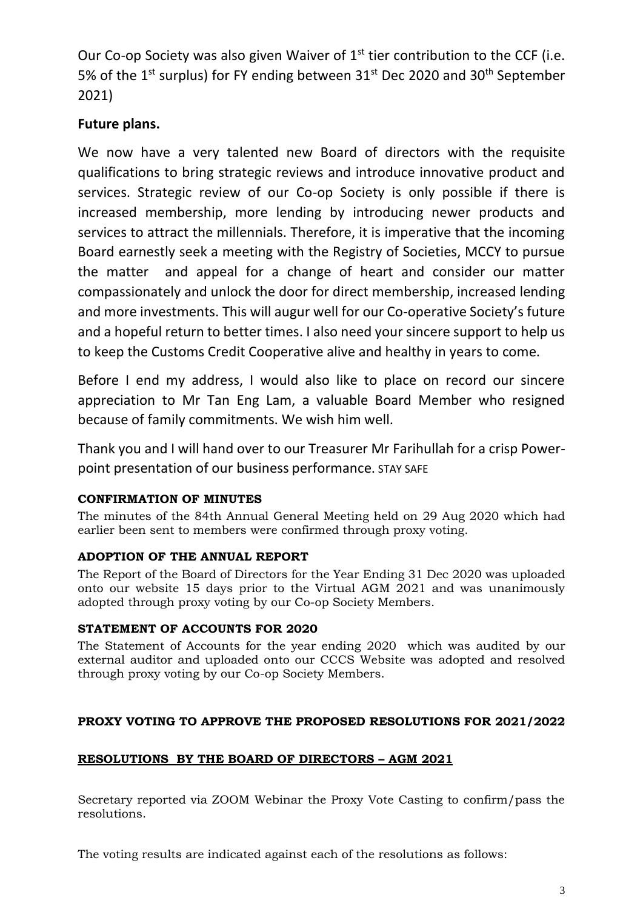Our Co-op Society was also given Waiver of  $1<sup>st</sup>$  tier contribution to the CCF (i.e. 5% of the 1<sup>st</sup> surplus) for FY ending between  $31<sup>st</sup>$  Dec 2020 and  $30<sup>th</sup>$  September 2021)

# **Future plans.**

We now have a very talented new Board of directors with the requisite qualifications to bring strategic reviews and introduce innovative product and services. Strategic review of our Co-op Society is only possible if there is increased membership, more lending by introducing newer products and services to attract the millennials. Therefore, it is imperative that the incoming Board earnestly seek a meeting with the Registry of Societies, MCCY to pursue the matter and appeal for a change of heart and consider our matter compassionately and unlock the door for direct membership, increased lending and more investments. This will augur well for our Co-operative Society's future and a hopeful return to better times. I also need your sincere support to help us to keep the Customs Credit Cooperative alive and healthy in years to come.

Before I end my address, I would also like to place on record our sincere appreciation to Mr Tan Eng Lam, a valuable Board Member who resigned because of family commitments. We wish him well.

Thank you and I will hand over to our Treasurer Mr Farihullah for a crisp Powerpoint presentation of our business performance. STAY SAFE

# **CONFIRMATION OF MINUTES**

The minutes of the 84th Annual General Meeting held on 29 Aug 2020 which had earlier been sent to members were confirmed through proxy voting.

# **ADOPTION OF THE ANNUAL REPORT**

The Report of the Board of Directors for the Year Ending 31 Dec 2020 was uploaded onto our website 15 days prior to the Virtual AGM 2021 and was unanimously adopted through proxy voting by our Co-op Society Members.

# **STATEMENT OF ACCOUNTS FOR 2020**

The Statement of Accounts for the year ending 2020 which was audited by our external auditor and uploaded onto our CCCS Website was adopted and resolved through proxy voting by our Co-op Society Members.

# **PROXY VOTING TO APPROVE THE PROPOSED RESOLUTIONS FOR 2021/2022**

# **RESOLUTIONS BY THE BOARD OF DIRECTORS – AGM 2021**

Secretary reported via ZOOM Webinar the Proxy Vote Casting to confirm/pass the resolutions.

The voting results are indicated against each of the resolutions as follows: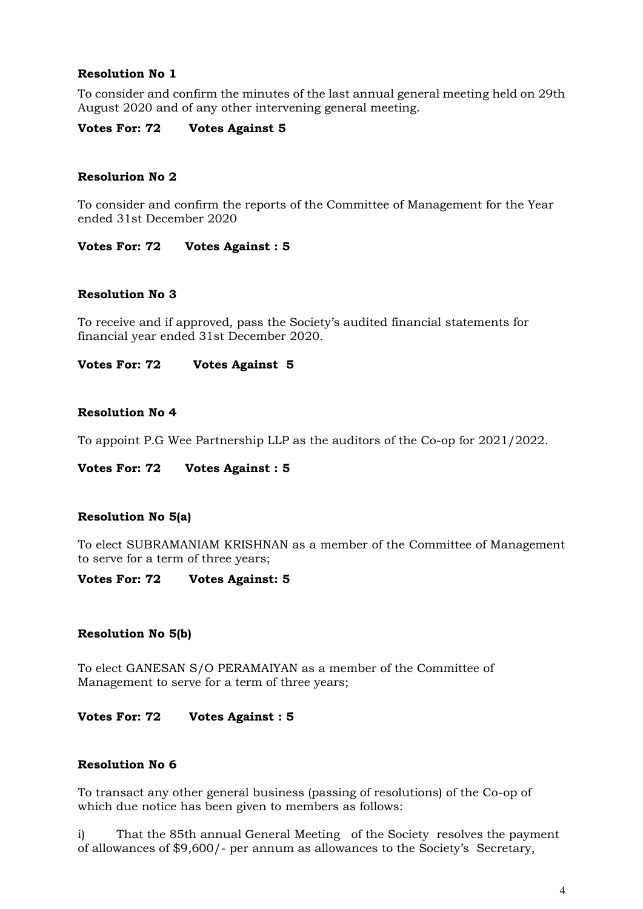## **Resolution No 1**

To consider and confirm the minutes of the last annual general meeting held on 29th August 2020 and of any other intervening general meeting.

**Votes For: 72 Votes Against 5**

## **Resolurion No 2**

To consider and confirm the reports of the Committee of Management for the Year ended 31st December 2020

**Votes For: 72 Votes Against : 5**

### **Resolution No 3**

To receive and if approved, pass the Society's audited financial statements for financial year ended 31st December 2020.

**Votes For: 72 Votes Against 5**

### **Resolution No 4**

To appoint P.G Wee Partnership LLP as the auditors of the Co-op for 2021/2022.

#### **Votes For: 72 Votes Against : 5**

#### **Resolution No 5(a)**

To elect SUBRAMANIAM KRISHNAN as a member of the Committee of Management to serve for a term of three years;

#### **Votes For: 72 Votes Against: 5**

#### **Resolution No 5(b)**

To elect GANESAN S/O PERAMAIYAN as a member of the Committee of Management to serve for a term of three years;

**Votes For: 72 Votes Against : 5**

## **Resolution No 6**

To transact any other general business (passing of resolutions) of the Co-op of which due notice has been given to members as follows:

i) That the 85th annual General Meeting of the Society resolves the payment of allowances of \$9,600/- per annum as allowances to the Society's Secretary,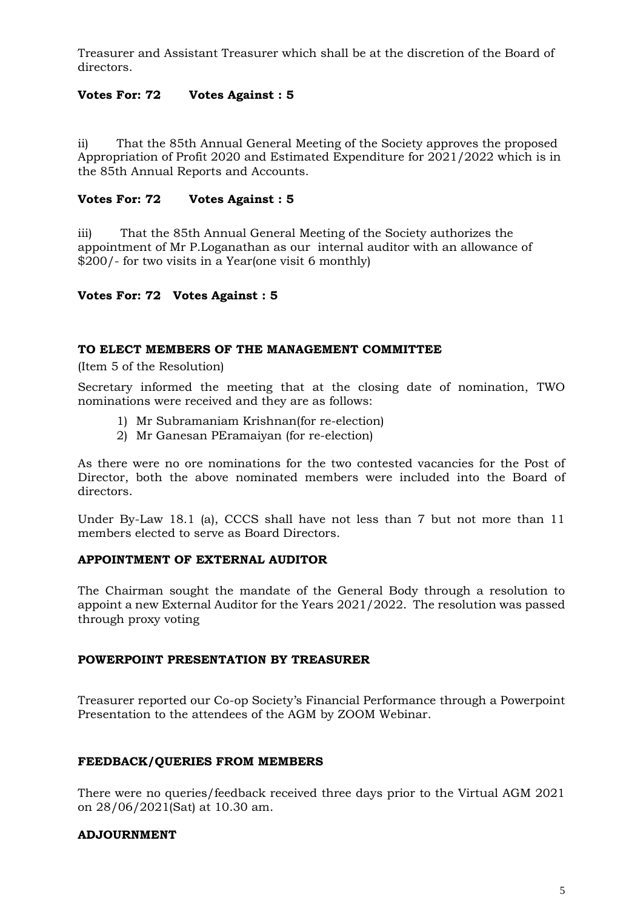Treasurer and Assistant Treasurer which shall be at the discretion of the Board of directors.

## **Votes For: 72 Votes Against : 5**

ii) That the 85th Annual General Meeting of the Society approves the proposed Appropriation of Profit 2020 and Estimated Expenditure for 2021/2022 which is in the 85th Annual Reports and Accounts.

## **Votes For: 72 Votes Against : 5**

iii) That the 85th Annual General Meeting of the Society authorizes the appointment of Mr P.Loganathan as our internal auditor with an allowance of \$200/- for two visits in a Year(one visit 6 monthly)

## **Votes For: 72 Votes Against : 5**

### **TO ELECT MEMBERS OF THE MANAGEMENT COMMITTEE**

(Item 5 of the Resolution)

Secretary informed the meeting that at the closing date of nomination, TWO nominations were received and they are as follows:

- 1) Mr Subramaniam Krishnan(for re-election)
- 2) Mr Ganesan PEramaiyan (for re-election)

As there were no ore nominations for the two contested vacancies for the Post of Director, both the above nominated members were included into the Board of directors.

Under By-Law 18.1 (a), CCCS shall have not less than 7 but not more than 11 members elected to serve as Board Directors.

## **APPOINTMENT OF EXTERNAL AUDITOR**

The Chairman sought the mandate of the General Body through a resolution to appoint a new External Auditor for the Years 2021/2022. The resolution was passed through proxy voting

## **POWERPOINT PRESENTATION BY TREASURER**

Treasurer reported our Co-op Society's Financial Performance through a Powerpoint Presentation to the attendees of the AGM by ZOOM Webinar.

## **FEEDBACK/QUERIES FROM MEMBERS**

There were no queries/feedback received three days prior to the Virtual AGM 2021 on 28/06/2021(Sat) at 10.30 am.

## **ADJOURNMENT**